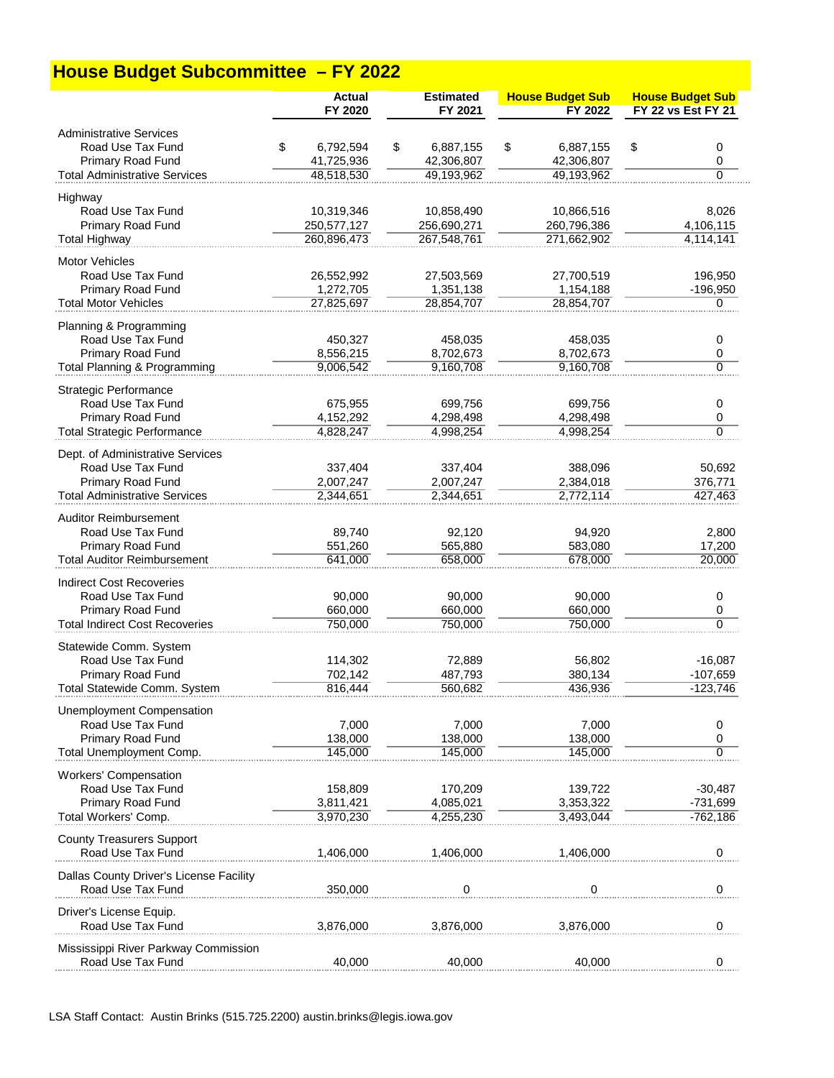## **House Budget Subcommittee – FY 2022**

|                                                              | <b>Actual</b><br>FY 2020 | <b>Estimated</b><br>FY 2021 | <b>House Budget Sub</b><br>FY 2022 | <b>House Budget Sub</b><br>FY 22 vs Est FY 21 |
|--------------------------------------------------------------|--------------------------|-----------------------------|------------------------------------|-----------------------------------------------|
|                                                              |                          |                             |                                    |                                               |
| <b>Administrative Services</b><br>Road Use Tax Fund          | \$<br>6,792,594          | \$<br>6,887,155             | \$<br>6,887,155                    | \$<br>0                                       |
| Primary Road Fund                                            | 41,725,936               | 42,306,807                  | 42,306,807                         | 0                                             |
| <b>Total Administrative Services</b>                         | 48,518,530               | 49,193,962                  | 49,193,962                         | $\Omega$                                      |
| Highway                                                      |                          |                             |                                    |                                               |
| Road Use Tax Fund                                            | 10,319,346               | 10,858,490                  | 10,866,516                         | 8,026                                         |
| Primary Road Fund                                            | 250,577,127              | 256,690,271                 | 260,796,386                        | 4,106,115                                     |
| <b>Total Highway</b>                                         | 260,896,473              | 267,548,761                 | 271,662,902                        | 4,114,141                                     |
| <b>Motor Vehicles</b>                                        |                          |                             |                                    |                                               |
| Road Use Tax Fund                                            | 26,552,992               | 27,503,569                  | 27,700,519                         | 196,950                                       |
| Primary Road Fund                                            | 1,272,705                | 1,351,138                   | 1,154,188                          | $-196,950$                                    |
| <b>Total Motor Vehicles</b>                                  | 27,825,697               | 28,854,707                  | 28,854,707                         | 0                                             |
| Planning & Programming                                       |                          |                             |                                    |                                               |
| Road Use Tax Fund                                            | 450,327                  | 458,035                     | 458,035                            | 0                                             |
| <b>Primary Road Fund</b>                                     | 8,556,215                | 8,702,673                   | 8,702,673                          | 0                                             |
| <b>Total Planning &amp; Programming</b>                      | 9,006,542                | 9,160,708                   | 9,160,708                          | 0                                             |
| <b>Strategic Performance</b>                                 |                          |                             |                                    |                                               |
| Road Use Tax Fund                                            | 675,955                  | 699,756                     | 699,756                            | 0                                             |
| <b>Primary Road Fund</b>                                     | 4,152,292<br>4.828.247   | 4,298,498                   | 4,298,498                          | 0<br>0                                        |
| <b>Total Strategic Performance</b>                           |                          | 4,998,254                   | 4.998.254                          |                                               |
| Dept. of Administrative Services                             |                          |                             |                                    |                                               |
| Road Use Tax Fund                                            | 337,404                  | 337,404                     | 388,096                            | 50,692                                        |
| Primary Road Fund<br><b>Total Administrative Services</b>    | 2,007,247<br>2,344,651   | 2,007,247<br>2,344,651      | 2,384,018<br>2,772,114             | 376,771<br>427,463                            |
|                                                              |                          |                             |                                    |                                               |
| <b>Auditor Reimbursement</b>                                 |                          |                             |                                    |                                               |
| Road Use Tax Fund                                            | 89,740                   | 92,120                      | 94,920                             | 2,800                                         |
| Primary Road Fund<br><b>Total Auditor Reimbursement</b>      | 551,260<br>641,000       | 565,880<br>658,000          | 583,080<br>678,000                 | 17,200<br>20,000                              |
|                                                              |                          |                             |                                    |                                               |
| Indirect Cost Recoveries                                     |                          |                             |                                    |                                               |
| Road Use Tax Fund<br>Primary Road Fund                       | 90,000<br>660,000        | 90,000<br>660,000           | 90,000<br>660,000                  | 0<br>0                                        |
| <b>Total Indirect Cost Recoveries</b>                        | 750,000                  | 750,000                     | 750,000                            | $\overline{0}$                                |
|                                                              |                          |                             |                                    |                                               |
| Statewide Comm. System<br>Road Use Tax Fund                  | 114,302                  | 72,889                      | 56,802                             | $-16,087$                                     |
| Primary Road Fund                                            | 702,142                  | 487,793                     | 380,134                            | $-107,659$                                    |
| Total Statewide Comm. System                                 | 816.444                  | 560,682                     | 436,936                            | $-123,746$                                    |
|                                                              |                          |                             |                                    |                                               |
| <b>Unemployment Compensation</b><br>Road Use Tax Fund        | 7,000                    | 7,000                       | 7,000                              | 0                                             |
| Primary Road Fund                                            | 138,000                  | 138,000                     | 138,000                            | 0                                             |
| Total Unemployment Comp.                                     | 145,000                  | 145,000                     | 145,000                            | $\Omega$                                      |
| <b>Workers' Compensation</b>                                 |                          |                             |                                    |                                               |
| Road Use Tax Fund                                            | 158,809                  | 170,209                     | 139,722                            | $-30,487$                                     |
| Primary Road Fund                                            | 3,811,421                | 4,085,021                   | 3,353,322                          | -731,699                                      |
| Total Workers' Comp.                                         | 3.970.230                | 4,255,230                   | 3.493.044                          | $-762,186$                                    |
| <b>County Treasurers Support</b>                             |                          |                             |                                    |                                               |
| Road Use Tax Fund                                            | 1,406,000                | 1,406,000                   | 1,406,000                          | 0                                             |
|                                                              |                          |                             |                                    |                                               |
| Dallas County Driver's License Facility<br>Road Use Tax Fund | 350,000                  | 0                           | 0                                  | 0                                             |
|                                                              |                          |                             |                                    |                                               |
| Driver's License Equip.                                      |                          |                             |                                    |                                               |
| Road Use Tax Fund                                            | 3,876,000                | 3,876,000                   | 3,876,000                          | 0                                             |
| Mississippi River Parkway Commission                         |                          |                             |                                    |                                               |
| Road Use Tax Fund                                            | 40.000                   | 40.000                      | 40.000                             | 0                                             |